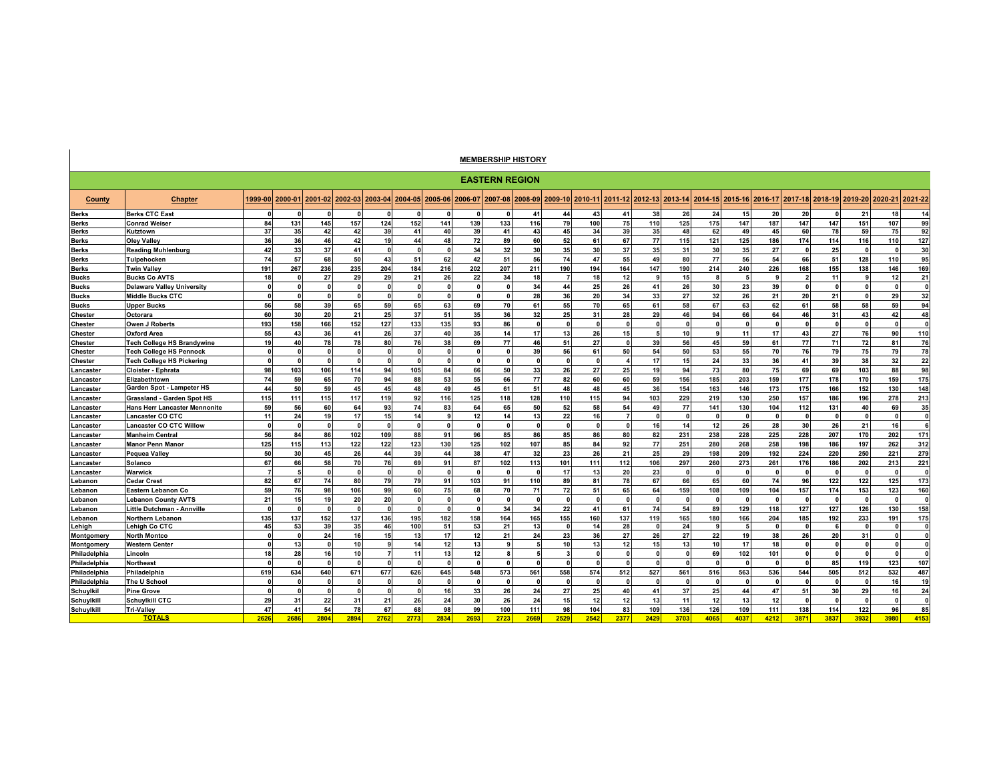## **MEMBERSHIP HISTORY**

|              | <b>EASTERN REGION</b>                |              |              |              |                 |              |                 |              |              |              |                         |                 |          |                 |              |              |             |         |          |              |                                 |              |         |              |
|--------------|--------------------------------------|--------------|--------------|--------------|-----------------|--------------|-----------------|--------------|--------------|--------------|-------------------------|-----------------|----------|-----------------|--------------|--------------|-------------|---------|----------|--------------|---------------------------------|--------------|---------|--------------|
| County       | <b>Chapter</b>                       | 1999-00      | 2000-01      |              | 2001-02 2002-03 | 2003-04      | 2004-05 2005-06 |              |              |              | 2006-07 2007-08 2008-09 | 2009-10 2010-11 |          | 2011-12 2012-13 |              | 2013-14      | 2014-15     | 2015-16 |          |              | 2016-17 2017-18 2018-19 2019-20 |              | 2020-21 | 2021-22      |
| <b>Berks</b> | <b>Berks CTC East</b>                |              |              | O            |                 |              |                 |              | n            |              | 41                      | 44              | 43       | 41              | 38           | 26           | 24          | 15      | 20       | 20           |                                 | 21           | 18      | 14           |
| <b>Berks</b> | <b>Conrad Weiser</b>                 | 84           | 131          | 145          | 157             | 124          | 152             | 141          | 139          | 133          | 116                     | 79              | 100      | 75              | 110          | 125          | 175         | 147     | 187      | 147          | 147                             | 151          | 107     | 99           |
| <b>Berks</b> | Kutztown                             | 37           | 35           | 42           | 42              | 39           | 41              | 40           | 39           | 41           | 43                      | 45              | 34       | 39              | 35           | 48           | 62          | 49      | 45       | 60           | 78                              | 59           | 75      | 92           |
| <b>Berks</b> | <b>Olev Vallev</b>                   | 36           | 36           | 46           | 42              | 19           | 44              | 48           | 72           | 89           | 60                      | 52              | 61       | 67              | 77           | 115          | 121         | 125     | 186      | 174          | 114                             | 116          | 110     | 127          |
| <b>Berks</b> | Reading Muhlenburg                   | 42           | 33           | 37           | 41              | $\mathbf{0}$ | $\mathbf{0}$    | $\mathbf{r}$ | 34           | 32           | 30                      | 35              | 30       | 37              | 35           | 31           | 30          | 35      | 27       | $\mathbf{0}$ | 25                              | $\mathbf{0}$ |         | 30           |
| <b>Berks</b> | Tulpehocken                          | 74           | 57           | 68           | 50              | 43           | 51              | 62           | 42           | 51           | 56                      | 74              | 47       | 55              | 49           | 80           | 77          | 56      | 54       | 66           | 51                              | 128          | 110     | 95           |
| <b>Berks</b> | <b>Twin Valley</b>                   | 191          | 267          | 236          | 235             | 204          | 184             | 216          | 202          | 207          | 211                     | 190             | 194      | 164             | 147          | 190          | 214         | 240     | 226      | 168          | 155                             | 138          | 146     | 169          |
| <b>Bucks</b> | <b>Bucks Co AVTS</b>                 | 18           |              | 27           | 29              | 29           | 21              | 26           | 22           | 34           | 18                      | $\overline{7}$  | 18       | 12              |              | 15           | s           |         |          | ,            | 11                              | g            | 12      | 21           |
| <b>Bucks</b> | <b>Delaware Valley University</b>    | $\mathbf{r}$ |              | $\Omega$     | $\Omega$        |              | $\mathbf{r}$    |              | $\mathbf{r}$ |              | 34                      | 44              | 25       | 26              | 41           | 26           | 30          | 23      | 39       | $\mathbf{r}$ | $\Omega$                        | $\mathbf{a}$ |         | $\mathbf{0}$ |
| <b>Bucks</b> | <b>Middle Bucks CTC</b>              |              |              | $\mathbf{r}$ |                 |              | $\mathbf{r}$    |              | n            |              | 28                      | 36              | 20       | 34              | 33           | 27           | 32          | 26      | 21       | 20           | 21                              |              | 29      | 32           |
| <b>Bucks</b> | <b>Upper Bucks</b>                   | 56           | 58           | 39           | 65              | 59           | 65              | 63           | 69           | 70           | 61                      | 55              | 70       | 65              | 61           | 58           | 67          | 63      | 62       | 61           | 58                              | 58           | 59      | 94           |
| Chester      | Octorara                             | 60           | 30           | 20           | 21              | 25           | 37              | 51           | 35           | 36           | 32                      | 25              | 31       | 28              | 29           | 46           | 94          | 66      | 64       | 46           | 31                              | 43           | 42      | 48           |
| Chester      | Owen J Roberts                       | 193          | 158          | 166          | 152             | 127          | 133             | 135          | 93           | 86           | $\mathbf{0}$            | O               |          | $\Omega$        |              | $\Omega$     | $\mathbf 0$ |         |          | $\Omega$     | $\mathbf{0}$                    | $\mathbf 0$  |         | $\mathbf{0}$ |
| Chester      | <b>Oxford Area</b>                   | 55           | 43           | 36           | 41              | 26           | 37              | 40           | 35           | 14           | 17                      | 13              | 26       | 15              |              | 10           | 9           | 11      | 17       | 43           | 27                              | 76           | 90      | 110          |
| Chester      | <b>Tech College HS Brandywine</b>    | 19           | 40           | 78           | 78              | 80           | 76              | 38           | 69           | 77           | 46                      | 51              | 27       | $\mathbf{0}$    | 39           | 56           | 45          | 59      | 61       | 77           | 71                              | 72           | 81      | 76           |
| Chester      | <b>Tech College HS Pennock</b>       | $\Omega$     | n            | $\mathbf{0}$ | $\mathbf{0}$    | $\Omega$     | $\Omega$        | $\sqrt{2}$   | $\mathbf{0}$ | $\mathbf{0}$ | 39                      | 56              | 61       | 50              | 54           | 50           | 53          | 55      | 70       | 76           | 79                              | 75           | 79      | 78           |
| Chester      | <b>Tech College HS Pickering</b>     | $\Omega$     |              | $\Omega$     | <sup>0</sup>    | $\mathbf{0}$ | $\Omega$        | $\sqrt{2}$   | $\Omega$     | $\mathbf{0}$ | $\Omega$                | $\Omega$        |          |                 | 17           | 15           | 24          | 33      | 36       | 41           | 39                              | 38           | 32      | 22           |
| Lancaster    | Cloister - Ephrata                   | 98           | 103          | 106          | 114             | 94           | 105             | 84           | 66           | 50           | 33                      | 26              | 27       | 25              | 19           | 94           | 73          | 80      | 75       | 69           | 69                              | 103          | 88      | 98           |
| Lancaster    | Elizabethtown                        | 74           | 59           | 65           | 70              | 94           | 88              | 53           | 55           | 66           | 77                      | 82              | 60       | 60              | 59           | 156          | 185         | 203     | 159      | 177          | 178                             | 170          | 159     | 175          |
| Lancaster    | Garden Spot - Lampeter HS            | 44           | 50           | 59           | 45              | 45           | 48              | 49           | 45           | 61           | 51                      | 48              | 48       | 45              | 36           | 154          | 163         | 146     | 173      | 175          | 166                             | 152          | 130     | 148          |
| Lancaster    | Grassland - Garden Spot HS           | 115          | 111          | 115          | 117             | 119          | 92              | 116          | 125          | 118          | 128                     | 110             | 115      | 94              | 103          | 229          | 219         | 130     | 250      | 157          | 186                             | 196          | 278     | 213          |
| Lancaster    | <b>Hans Herr Lancaster Mennonite</b> | 59           | 56           | 60           | 64              | 93           | 74              | 83           | 64           | 65           | 50                      | 52              | 58       | 54              | 49           | 77           | 141         | 130     | 104      | 112          | 131                             | 40           | 69      | 35           |
| Lancaster    | Lancaster CO CTC                     | 11           | 24           | 19           | 17              | 15           | 14              |              | 12           | 14           | 13                      | 22              | 16       |                 |              | $\mathbf{0}$ | $\mathbf 0$ |         |          | $\Omega$     | $\mathbf{0}$                    | $\mathbf 0$  |         | $\mathbf{0}$ |
| Lancaster    | <b>Lancaster CO CTC Willow</b>       | $\Omega$     | $\mathbf{r}$ | $\mathbf{0}$ | $\mathbf{0}$    | $\mathbf{0}$ | $\mathbf{0}$    | $\mathbf{r}$ | $\mathbf{0}$ | $\mathbf{0}$ | $\Omega$                | $\mathbf{0}$    | $\Omega$ | $\Omega$        | 16           | 14           | 12          | 26      | 28       | 30           | 26                              | 21           | 16      | 6            |
| Lancaster    | <b>Manheim Central</b>               | 56           | 84           | 86           | 102             | 109          | 88              | 91           | 96           | 85           | 86                      | 85              | 86       | 80              | 82           | 231          | 238         | 228     | 225      | 228          | 207                             | 170          | 202     | 171          |
| Lancaster    | <b>Manor Penn Manor</b>              | 125          | 115          | 113          | 122             | 122          | 123             | 130          | 125          | 102          | 107                     | 85              | 84       | 92              | 77           | 251          | 280         | 268     | 258      | 198          | 186                             | 197          | 262     | 312          |
| Lancaster    | Pequea Valley                        | 50           | 30           | 45           | 26              | 44           | 39              | 44           | 38           | 47           | 32                      | 23              | 26       | 21              | 25           | 29           | 198         | 209     | 192      | 224          | 220                             | 250          | 221     | 279          |
| Lancaster    | Solanco                              | 67           | 66           | 58           | 70              | 76           | 69              | 91           | 87           | 102          | 113                     | 101             | 111      | 112             | 106          | 297          | 260         | 273     | 261      | 176          | 186                             | 202          | 213     | 221          |
| Lancaster    | Warwick                              |              |              | $\mathbf{0}$ |                 |              | $\Omega$        |              | n            |              |                         | 17              | 13       | 20              | 23           | $\Omega$     | C           |         |          |              |                                 |              |         | $\mathbf{0}$ |
| Lebanon      | <b>Cedar Crest</b>                   | 82           | 67           | 74           | 80              | 79           | 79              | 91           | 103          | 91           | 110                     | 89              | 81       | 78              | 67           | 66           | 65          | 60      | 74       | 96           | 122                             | 122          | 125     | 173          |
| Lebanon      | Eastern Lebanon Co                   | 59           | 76           | 98           | 106             | 99           | 60              | 75           | 68           | 70           | 71                      | 72              | 51       | 65              | 64           | 159          | 108         | 109     | 104      | 157          | 174                             | 153          | 123     | 160          |
| Lebanon      | <b>Lebanon County AVTS</b>           | 21           | 15           | 19           | 20              | 20           | $\mathbf{r}$    |              | n            |              | - 0                     |                 |          | $\mathbf{r}$    |              | $\Omega$     | $\Omega$    |         |          |              | n                               | $\sqrt{2}$   |         | $\Omega$     |
| Lebanon      | <b>Little Dutchman - Annville</b>    | $\mathbf{r}$ |              | $\Omega$     | $\Omega$        | -C           | n               |              | $\mathbf{r}$ | 34           | 34                      | 22              | 41       | 61              | 74           | 54           | 89          | 129     | 118      | 127          | 127                             | 126          | 130     | 158          |
| Lebanon      | <b>Northern Lebanon</b>              | 135          | 137          | 152          | 137             | 136          | 195             | 182          | 158          | 164          | 165                     | 155             | 160      | 137             | 119          | 165          | 180         | 166     | 204      | 185          | 192                             | 233          | 191     | 175          |
| Lehigh       | <b>Lehiah Co CTC</b>                 | 45           | 53           | 39           | 35              | 46           | 100             | 51           | 53           | 21           | 13                      | $\Omega$        | 14       | 28              | $\mathbf{0}$ | 24           | 9           |         | $\Omega$ | $\Omega$     | 6                               | $\Omega$     |         | $\mathbf 0$  |
| Montgomery   | <b>North Montco</b>                  |              |              | 24           | 16              | 15           | 13              | 17           | 12           | 21           | 24                      | 23              | 36       | 27              | 26           | 27           | 22          | 19      | 38       | 26           | 20                              | 31           |         | $\mathbf{0}$ |
| Montgomery   | <b>Western Center</b>                |              | 13           | $\mathbf{r}$ | 10              |              | 14              | 12           | 13           |              |                         | 10 <sup>1</sup> | 13       | 12              | 15           | 13           | 10          | 17      | 18       | $\mathbf{r}$ | $\mathbf{r}$                    | $\mathbf{r}$ |         | $\mathbf{0}$ |
| Philadelphia | Lincoln                              | 18           | 28           | 16           | 10 <sup>1</sup> |              | 11              | 13           | 12           |              |                         | ٩               |          |                 | $\mathbf{r}$ | $\mathbf{r}$ | 69          | 102     | 101      | $\mathbf{r}$ | $\mathbf{r}$                    | $\sqrt{2}$   |         | $\Omega$     |
| Philadelphia | Northeast                            |              |              | $\Omega$     |                 |              | $\sqrt{ }$      |              | n            |              |                         |                 |          |                 |              | $\Omega$     | $\Omega$    |         |          |              | 85                              | 119          | 123     | 107          |
| Philadelphia | Philadelphia                         | 619          | 634          | 640          | 671             | 677          | 626             | 645          | 548          | 573          | 561                     | 558             | 574      | 512             | 527          | 561          | 516         | 563     | 536      | 544          | 505                             | 512          | 532     | 487          |
| Philadelphia | The U School                         | $\mathbf{r}$ |              | $\sqrt{ }$   | 0               |              | - 0             |              | $\sqrt{2}$   |              | - 0                     | n               |          | $\mathbf{r}$    |              | $\Omega$     | $\Omega$    |         |          |              | - 0                             | $\Omega$     | 16      | 19           |
| Schuylkil    | <b>Pine Grove</b>                    | $\Omega$     |              | 0            | 0               | O            | $\Omega$        | 16           | 33           | 26           | 24                      | 27              | 25       | 40              | 41           | 37           | 25          | 44      | 47       | 51           | 30                              | 29           | 16      | 24           |
| Schuylkill   | <b>Schuylkill CTC</b>                | 29           | 31           | 22           | 31              | 21           | 26              | 24           | 30           | 26           | 24                      | 15              | 12       | 12              | 13           | 11           | 12          | 13      | 12       | $\sqrt{2}$   | - 0                             | $\mathbf{0}$ |         | $\mathbf{0}$ |
| Schuylkill   | <b>Tri-Valley</b>                    | 47           | 41           | 54           | 78              | 67           | 68              | 98           | 99           | 100          | 111                     | 98              | 104      | 83              | 109          | 136          | 126         | 109     | 111      | 138          | 114                             | 122          | 96      | 85           |
|              | <b>TOTALS</b>                        | 2626         | 2686         | 2804         | 2894            | 2762         | 2773            | 2834         | 2693         | 2723         | 2669                    | 2529            | 2542     | 2377            | 2429         | 3703         | 4065        | 4037    | 4212     | 3871         | 3837                            | 3932         | 3980    | 4153         |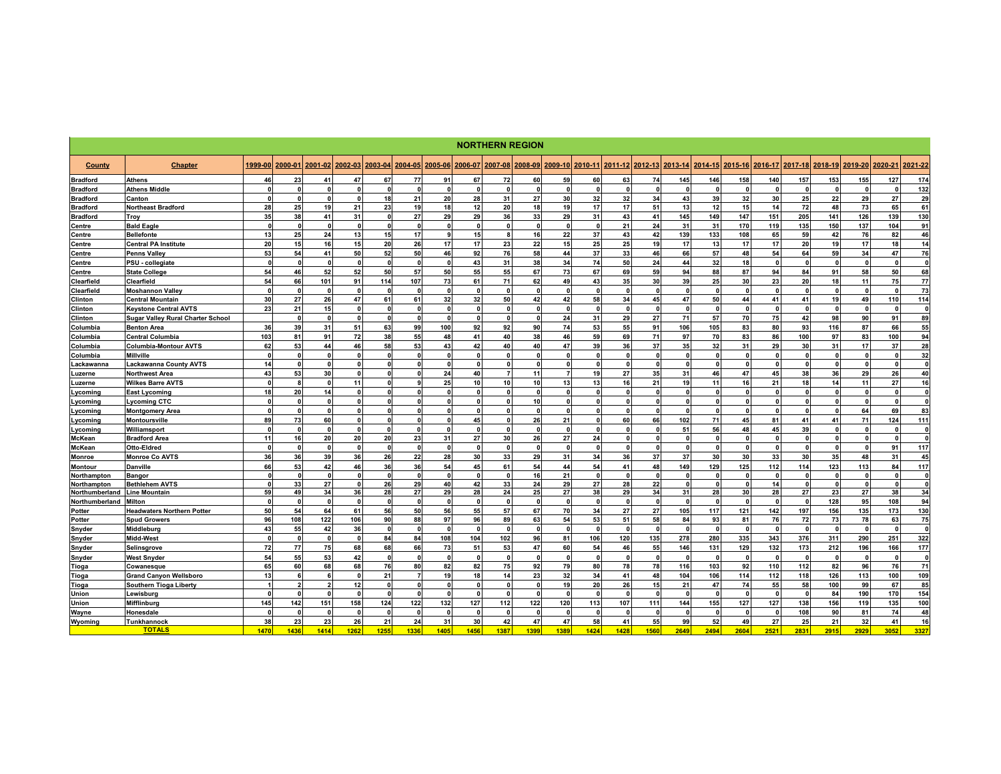|                 | <b>NORTHERN REGION</b>                   |              |          |                          |              |              |                |              |              |                |              |                |              |              |                 |            |              |          |              |              |              |              |              |              |
|-----------------|------------------------------------------|--------------|----------|--------------------------|--------------|--------------|----------------|--------------|--------------|----------------|--------------|----------------|--------------|--------------|-----------------|------------|--------------|----------|--------------|--------------|--------------|--------------|--------------|--------------|
| County          | <b>Chapter</b>                           | 1999-00      | 2000-01  | 2001-02                  | 2002-03      | 2003-04      | 2004-05        | 2005-06      | 2006-07      | 2007-08        | 2008-09      | 2009-10        | 2010-11      |              | 2011-12 2012-13 | 2013-14    | 2014-15      | 2015-16  | 2016-17      | 2017-18      | 2018-19      | 2019-20      | 2020-21      | 2021-22      |
| <b>Bradford</b> | <b>Athens</b>                            | 46           | 23       | 41                       | 47           | 67           | 77             | 91           | 67           | 72             | 60           | 59             | 60           | 63           | 74              | 145        | 146          | 158      | 140          | 157          | 153          | 155          | 127          | 174          |
| <b>Bradford</b> | <b>Athens Middle</b>                     | $\mathbf{r}$ |          | $\Omega$                 | $\mathbf{r}$ | $\mathbf{r}$ | $\mathbf{r}$   | $\mathbf{r}$ | $\mathbf{r}$ | $\Omega$       | $\mathbf{0}$ | $\sqrt{2}$     |              | $\mathbf{r}$ | $\mathbf{r}$    | $\sqrt{2}$ | $\mathbf{r}$ |          | $\mathbf{r}$ | $\mathbf{r}$ | $\Omega$     |              |              | 132          |
| <b>Bradford</b> | Canton                                   | $\Omega$     | n        | $\mathbf{0}$             | $\mathbf{0}$ | 18           | 21             | 20           | 28           | 31             | 27           | 30             | 32           | 32           | 34              | 43         | 39           | 32       | 30           | 25           | 22           | 29           | 27           | 29           |
| <b>Bradford</b> | <b>Northeast Bradford</b>                | 28           | 25       | 19                       | 21           | 23           | 19             | 18           | 12           | 20             | 18           | 19             | 17           | 17           | 51              | 13         | 12           | 15       | 14           | 72           | 48           | 73           | 65           | 61           |
| <b>Bradford</b> | Troy                                     | 35           | 38       | 41                       | 31           | $\mathbf{0}$ | 27             | 29           | 29           | 36             | 33           | 29             | 31           | 43           | 41              | 145        | 149          | 147      | 151          | 205          | 141          | 126          | 139          | 130          |
| Centre          | <b>Bald Eagle</b>                        | $\mathbf{r}$ |          | $\mathbf{0}$             | $\Omega$     | $\Omega$     | $\Omega$       | $\Omega$     | $\Omega$     | $\Omega$       | $\mathbf{0}$ | $\mathbf{0}$   | $\mathbf{r}$ | 21           | 24              | 31         | 31           | 170      | 119          | 135          | 150          | 137          | 104          | 91           |
| Centre          | <b>Bellefonte</b>                        | 13           | 25       | 24                       | 13           | 15           | 17             | 9            | 15           | -8             | 16           | 22             | 37           | 43           | 42              | 139        | 133          | 108      | 65           | 59           | 42           | 76           | 82           | 46           |
| Centre          | <b>Central PA Institute</b>              | 20           | 15       | 16                       | 15           | 20           | 26             | 17           | 17           | 23             | 22           | 15             | 25           | 25           | 19              | 17         | 13           | 17       | 17           | 20           | 19           | 17           | 18           | 14           |
| Centre          | <b>Penns Valley</b>                      | 53           | 54       | 41                       | 50           | 52           | 50             | 46           | 92           | 76             | 58           | 44             | 37           | 33           | 46              | 66         | 57           | 48       | 54           | 64           | 59           | 34           | 47           | 76           |
| Centre          | PSU - collegiate                         | $\Omega$     |          | $\mathbf{0}$             | $\Omega$     | $\Omega$     | $\mathbf{o}$   | $\Omega$     | 43           | 31             | 38           | 34             | 74           | 50           | 24              | 44         | 32           | 18       | $\mathbf{0}$ | $\mathbf{0}$ | $\mathbf{0}$ | $\Omega$     | $\mathbf{r}$ | $\mathbf{0}$ |
| Centre          | <b>State College</b>                     | 54           | 46       | 52                       | 52           | 50           | 57             | 50           | 55           | 55             | 67           | 73             | 67           | 69           | 59              | 94         | 88           | 87       | 94           | 84           | 91           | 58           | 50           | 68           |
| Clearfield      | Clearfield                               | 54           | 66       | 101                      | 91           | 114          | 107            | 73           | 61           | 71             | 62           | 49             | 43           | 35           | 30              | 39         | 25           | 30       | 23           | 20           | 18           | 11           | 75           | 77           |
| Clearfield      | <b>Moshannon Valley</b>                  | $\mathbf{0}$ |          | $\Omega$                 | $\mathbf{0}$ | $\Omega$     | $\Omega$       | $\mathbf{r}$ | $\Omega$     | $\mathbf{0}$   |              | $\Omega$       |              | $\Omega$     | $\mathbf{0}$    |            | $\mathbf{0}$ |          | $\mathbf{0}$ | $\mathbf{0}$ | $\mathbf{0}$ | $\mathbf{0}$ |              | 73           |
| Clinton         | <b>Central Mountain</b>                  | 30           | 27       | 26                       | 47           | 61           | 61             | 32           | 32           | 50             | 42           | 42             | 58           | 34           | 45              | 47         | 50           | 44       | 41           | 41           | 19           | 49           | 110          | 114          |
| Clinton         | <b>Kevstone Central AVTS</b>             | 23           | 21       | 15 <sup>1</sup>          | $\Omega$     | $\Omega$     | $\mathbf{0}$   | $\Omega$     | $\Omega$     | $\mathbf{0}$   | O            | $\Omega$       |              | $\mathbf{0}$ | $\mathbf{0}$    | $\Omega$   | $\mathbf{0}$ |          | $\Omega$     | $\mathbf{0}$ | $\Omega$     | <b>C</b>     |              | $\mathbf{0}$ |
| Clinton         | <b>Sugar Valley Rural Charter School</b> |              |          | $\mathbf{0}$             | $\mathbf{0}$ | n            | $\Omega$       | $\mathbf{a}$ | $\mathbf{r}$ | $\mathbf{0}$   |              | 24             | 31           | 29           | 27              | 71         | 57           | 70       | 75           | 42           | 98           | 90           | 91           | 89           |
| Columbia        | <b>Benton Area</b>                       | 36           | 39       | 31                       | 51           | 63           | 99             | 100          | 92           | 92             | 90           | 74             | 53           | 55           | 91              | 106        | 105          | 83       | 80           | 93           | 116          | 87           | 66           | 55           |
| Columbia        | <b>Central Columbia</b>                  | 103          | 81       | 91                       | 72           | 38           | 55             | 48           | 41           | 40             | 38           | 46             | 59           | 69           | 71              | 97         | 70           | 83       | 86           | 100          | 97           | 83           | 100          | 94           |
| Columbia        | <b>Columbia-Montour AVTS</b>             | 62           | 53       | 44                       | 46           | 58           | 53             | 43           | 42           | 40             | 40           | 47             | 39           | 36           | 37              | 35         | 32           | 31       | 29           | 30           | 31           | 17           | 37           | 28           |
| Columbia        | <b>Millville</b>                         | $\Omega$     |          | $\mathbf{0}$             | $\mathbf{0}$ | n            | 0              | n            | $\Omega$     | $\mathbf{0}$   |              | $\Omega$       | n            | $\Omega$     | $\mathbf{0}$    |            | $\Omega$     | n        | $\Omega$     |              | $\Omega$     |              |              | 32           |
| Lackawanna      | <b>Lackawanna County AVTS</b>            | 14           |          | $\Omega$                 | $\Omega$     |              |                |              | $\mathbf{r}$ | $\Omega$       |              |                |              | $\mathbf{r}$ | $\Omega$        |            | $\mathbf{r}$ |          | $\mathbf{a}$ | $\Omega$     | $\mathbf{r}$ |              |              | $\mathbf{0}$ |
| Luzerne         | <b>Northwest Area</b>                    | 43           | 53       | 30                       | $\mathbf{0}$ | $\Omega$     | $\Omega$       | 24           | 40           | $\overline{7}$ | 11           | $\overline{7}$ | 19           | 27           | 35              | 31         | 46           | 47       | 45           | 38           | 36           | 29           | 26           | 40           |
| Luzerne         | <b>Wilkes Barre AVTS</b>                 | $\Omega$     |          | $\Omega$                 | 11           | $\Omega$     | $\mathbf{q}$   | 25           | 10           | 10             | 10           | 13             | 13           | 16           | 21              | 19         | 11           | 16       | 21           | 18           | 14           | 11           | 27           | 16           |
| Lycoming        | <b>East Lycoming</b>                     | 18           | 20       | 14                       | $\mathbf{0}$ | O            |                | $\sqrt{2}$   | $\Omega$     | $\mathbf{0}$   | $\mathbf{0}$ | $\Omega$       | n            | $\Omega$     | $\mathbf{0}$    | $\sqrt{2}$ | $\Omega$     |          | $\Omega$     | $\mathbf{0}$ | $\Omega$     | f.           |              | 0            |
| Lycoming        | Lycoming CTC                             | $\Omega$     |          | $\Omega$                 | $\Omega$     | O            | n              | U            | $\Omega$     | $\Omega$       | 10           | $\Omega$       |              | $\Omega$     | $\mathbf{0}$    | $\Omega$   | $\Omega$     | n        | $\Omega$     | $\mathbf{0}$ | $\Omega$     |              |              | $\mathbf{0}$ |
| Lycoming        | <b>Montgomery Area</b>                   |              |          | $\mathbf{0}$             | $\mathbf{0}$ |              |                | n            | $\Omega$     | $\mathbf{0}$   |              | $\Omega$       |              | $\Omega$     | $\mathbf{0}$    |            | $\Omega$     |          | $\mathbf{a}$ | $\mathbf{0}$ | $\Omega$     | 64           | 69           | 83           |
| Lycoming        | Montoursville                            | 89           | 73       | 60                       | $\Omega$     | $\Omega$     | $\Omega$       | $\Omega$     | 45           | $\Omega$       | 26           | 21             | $\sqrt{2}$   | 60           | 66              | 102        | 71           | 45       | 81           | 41           | 41           | 71           | 124          | 111          |
| Lycoming        | Williamsport                             | $\mathbf{0}$ | $\Omega$ | $\Omega$                 | $\mathbf{0}$ | $\Omega$     | $\mathbf 0$    | <sup>0</sup> | $\Omega$     | $\mathbf{0}$   | O            | $\Omega$       | U            | $\Omega$     | $\mathbf{0}$    | 51         | 56           | 48       | 45           | 39           | $\Omega$     | <b>C</b>     |              | 0            |
| McKean          | <b>Bradford Area</b>                     | 11           | 16       | 20                       | 20           | 20           | 23             | 31           | 27           | 30             | 26           | 27             | 24           | $\mathbf{r}$ |                 | $\sqrt{2}$ | $\mathbf{r}$ |          | $\sqrt{2}$   | $\Omega$     | $\mathbf{r}$ |              |              | $\mathbf 0$  |
| <b>McKean</b>   | Otto-Eldred                              | $\Omega$     |          | $\mathbf{0}$             | $\mathbf{0}$ | $\Omega$     | $\Omega$       | $\Omega$     | $\Omega$     | $\mathbf{0}$   | $\mathbf{0}$ | $\Omega$       |              | $\mathbf{0}$ | $\Omega$        |            | $\Omega$     |          | $\mathbf{0}$ | $\Omega$     | $\mathbf{0}$ |              | 91           | 117          |
| Monroe          | <b>Monroe Co AVTS</b>                    | 36           | 36       | 39                       | 36           | 26           | 22             | 28           | 30           | 33             | 29           | 31             | 34           | 36           | 37              | 37         | 30           | 30       | 33           | 30           | 35           | 48           | 31           | 45           |
| Montour         | <b>Danville</b>                          | 66           | 53       | 42                       | 46           | 36           | 36             | 54           | 45           | 61             | 54           | 44             | 54           | 41           | 48              | 149        | 129          | 125      | 112          | 114          | 123          | 113          | 84           | 117          |
| Northampton     | <b>Bangor</b>                            | $\mathbf{0}$ |          | $\mathbf{0}$             | $\mathbf{0}$ | $\Omega$     | $\mathbf{0}$   | $\Omega$     | $\mathbf{0}$ | $\mathbf{0}$   | 16           | 21             | $\mathbf{r}$ | $\Omega$     | $\mathbf{0}$    | - 0        | $\mathbf{0}$ | n        | $\Omega$     | $\mathbf{0}$ | $\Omega$     | $\Omega$     | $\mathbf{r}$ | $\mathbf 0$  |
| Northampton     | <b>Bethlehem AVTS</b>                    |              | 33       | 27                       | $\mathbf{0}$ | 26           | 29             | 40           | 42           | 33             | 24           | 29             | 27           | 28           | 22              |            | $\mathbf{0}$ |          | 14           | $\mathbf{0}$ | $\mathbf{0}$ | f.           |              | $\mathbf{0}$ |
| Northumberland  | <b>Line Mountain</b>                     | 59           | 49       | 34                       | 36           | 28           | 27             | 29           | 28           | 24             | 25           | 27             | 38           | 29           | 34              | 31         | 28           | 30       | 28           | 27           | 23           | 27           | 38           | 34           |
| Northumberland  | <b>Milton</b>                            |              |          | $\mathbf{0}$             | $\mathbf{0}$ |              | $\mathbf{0}$   |              | $\Omega$     | $\mathbf{0}$   |              | $\mathbf{0}$   |              | $\Omega$     |                 |            | $\Omega$     |          | $\Omega$     |              | 128          | 95           | 108          | 94           |
| Potter          | <b>Headwaters Northern Potter</b>        | 50           | 54       | 64                       | 61           | 56           | 50             | 56           | 55           | 57             | 67           | 70             | 34           | 27           | 27              | 105        | 117          | 121      | 142          | 197          | 156          | 135          | 173          | 130          |
| Potter          | <b>Spud Growers</b>                      | 96           | 108      | 122                      | 106          | 90           | 88             | 97           | 96           | 89             | 63           | 54             | 53           | 51           | 58              | 84         | 93           | 81       | 76           | 72           | 73           | 78           | 63           | 75           |
| Snyder          | Middleburg                               | 43           | 55       | 42                       | 36           | $\mathbf{0}$ | $\mathbf{0}$   | $\Omega$     | $\Omega$     | 0              | $\mathbf{0}$ | $\mathbf{0}$   |              | $\Omega$     |                 | $\Omega$   | O            |          | $\Omega$     |              | $\mathbf 0$  |              |              | 0            |
| Snyder          | Midd-West                                |              |          | $\mathbf{0}$             | $\Omega$     | 84           | 84             | 108          | 104          | 102            | 96           | 81             | 106          | 120          | 135             | 278        | 280          | 335      | 343          | 376          | 311          | 290          | 251          | 322          |
| Snyder          | Selinsgrove                              | 72           | 77       | 75                       | 68           | 68           | 66             | 73           | 51           | 53             | 47           | 60             | 54           | 46           | 55              | 146        | 131          | 129      | 132          | 173          | 212          | 196          | 166          | 177          |
| Snyder          | <b>West Snyder</b>                       | 54           | 55       | 53                       | 42           | $\Omega$     | $\mathbf{r}$   | $\mathbf{a}$ | $\mathbf{r}$ | $\mathbf{0}$   | $\sqrt{2}$   | $\mathbf{0}$   | $\mathbf{r}$ | $\sqrt{2}$   | $\mathbf{r}$    | $\sqrt{2}$ | $\mathbf{r}$ |          | $\mathbf{r}$ |              | $\mathbf{0}$ | $\mathbf{r}$ |              | $\mathbf 0$  |
| Tioga           | Cowanesque                               | 65           | 60       | 68                       | 68           | 76           | 80             | 82           | 82           | 75             | 92           | 79             | 80           | 78           | 78              | 116        | 103          | 92       | 110          | 112          | 82           | 96           | 76           | 71           |
| Tioga           | <b>Grand Canyon Wellsboro</b>            | 13           |          | 6                        | $\mathbf{0}$ | 21           | $\overline{7}$ | 19           | 18           | 14             | 23           | 32             | 34           | 41           | 48              | 104        | 106          | 114      | 112          | 118          | 126          | 113          | 100          | 109          |
| Tioga           | <b>Southern Tioga Liberty</b>            |              |          | $\overline{\phantom{a}}$ | 12           |              |                |              | $\mathbf{r}$ | $\Omega$       |              | 19             | 20           | 26           | 15              | 21         | 47           | 74       | 55           | 58           | 100          | 99           | 67           | 85           |
| Union           | Lewisburg                                | $\mathbf{0}$ | n        | $\mathbf{0}$             | $\mathbf{0}$ | $\Omega$     | $\Omega$       | $\Omega$     | $\mathbf{0}$ | $\mathbf{0}$   | $\mathbf{0}$ | $\mathbf{0}$   | $\mathbf{0}$ | $\mathbf{0}$ | $\mathbf{0}$    | - 0        | $\mathbf{0}$ | $\Omega$ | $\Omega$     | $\mathbf{0}$ | 84           | 190          | 170          | 154          |
| Union           | Mifflinburg                              | 145          | 142      | 151                      | 158          | 124          | 122            | 132          | 127          | 112            | 122          | 120            | 113          | 107          | 111             | 144        | 155          | 127      | 127          | 138          | 156          | 119          | 135          | 100          |
| Wayne           | Honesdale                                |              |          | $\Omega$                 | $\Omega$     | n            | $\mathbf{r}$   | n            | $\mathbf{r}$ | $\mathbf{0}$   |              | $\sqrt{2}$     |              | $\mathbf{r}$ |                 |            | n            |          | $\mathbf{r}$ | 108          | 90           | 81           | 74           | 48           |
| Wyoming         | Tunkhannock                              | 38           | 23       | 23                       | 26           | 21           | 24             | 31           | 30           | 42             | 47           | 47             | 58           | 41           | 55              | 99         | 52           | 49       | 27           | 25           | 21           | 32           | 41           | 16           |
|                 | <b>TOTALS</b>                            | 1470         | 1436     | 1414                     | 1262         | 1255         | 1336           | 1405         | 1456         | 1387           | 1399         | 1389           | 1424         | 1428         | 1560            | 2649       | 2494         | 2604     | 2521         | 2831         | 2915         | 2929         | 3052         | 3327         |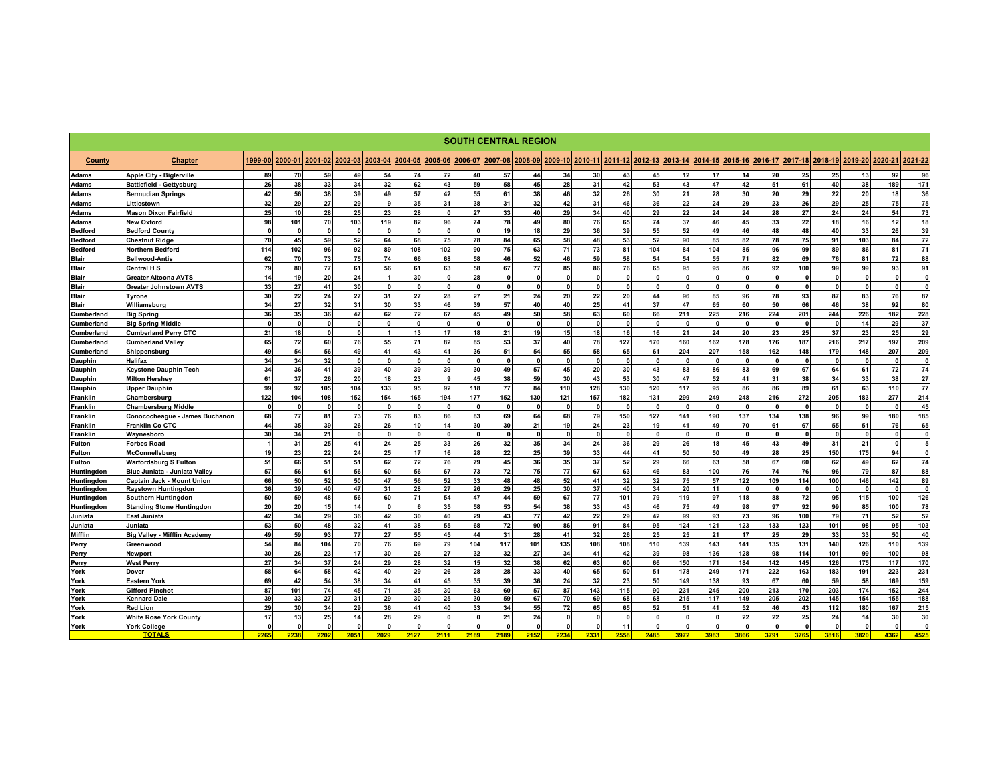|                |                                     |                      |              |                 |              |              |              |         |              |              | <b>SOUTH CENTRAL REGION</b> |              |         |          |                 |              |              |                    |              |              |              |              |                |                 |
|----------------|-------------------------------------|----------------------|--------------|-----------------|--------------|--------------|--------------|---------|--------------|--------------|-----------------------------|--------------|---------|----------|-----------------|--------------|--------------|--------------------|--------------|--------------|--------------|--------------|----------------|-----------------|
| County         | <b>Chapter</b>                      | 1999-00              | 2000-01      | 2001-02         | 2002-03      | 2003-04      | 2004-05      | 2005-06 | 2006-07      | 2007-08      | 2008-09                     | 2009-10      | 2010-11 |          | 2011-12 2012-13 | 2013-14      | 2014-15      | 2015-16<br>2016-17 | 2017-18      |              | 2018-19      | 2019-20      | 2020-21        | 2021-22         |
| Adams          | <b>Apple City - Biglerville</b>     | 89                   | 70           | 59              | 49           | 54           | 74           | 72      | 40           | 57           | 44                          | 34           | 30      | 43       | 45              | 12           | 17           | 14                 | 20           | 25           | 25           | 13           | 92             | 96              |
| Adams          | <b>Battlefield - Gettysburg</b>     | 26                   | 38           | 33              | 34           | 32           | 62           | 43      | 59           | 58           | 45                          | 28           | 31      | 42       | 53              | 43           | 47           | 42                 | 51           | 61           | 40           | 38           | 189            | 171             |
| <b>Adams</b>   | <b>Bermudian Springs</b>            | 42                   | 56           | 38              | 39           | 49           | 57           | 42      | 55           | 61           | 38                          | 46           | 32      | 26       | 30              | 21           | 28           | 30                 | 20           | 29           | 22           | 20           | 18             | 36              |
| Adams          | Littlestown                         | 32                   | 29           | 27              | 29           | -9           | 35           | 31      | 38           | 31           | 32                          | 42           | 31      | 46       | 36              | 22           | 24           | 29                 | 23           | 26           | 29           | 25           | 75             | 75              |
| <b>Adams</b>   | <b>Mason Dixon Fairfield</b>        | 25                   | 10           | 28              | 25           | 23           | 28           |         | 27           | 33           | 40                          | 29           | 34      | 40       | 29              | 22           | 24           | 24                 | 28           | 27           | 24           | 24           | 54             | 73              |
| Adams          | <b>New Oxford</b>                   | 98                   | 101          | 70              | 103          | 119          | 82           | 96      | 74           | 78           | 49                          | 80           | 76      | 65       | 74              | 37           | 46           | 45                 | 33           | 22           | 18           | 16           | 12             | 18              |
| <b>Bedford</b> | <b>Bedford County</b>               | $\Omega$             | $\Omega$     | $\mathbf{0}$    |              |              | $\Omega$     |         | $\mathbf{0}$ | 19           | 18                          | 29           | 36      | 39       | 55              | 52           | 49           | 46                 | 48           | 48           | 40           | 33           | 26             | 39              |
| <b>Bedford</b> | <b>Chestnut Ridge</b>               | 70                   | 45           | 59              | 52           | 64           | 68           | 75      | 78           | 84           | 65                          | 58           | 48      | 53       | 52              | 90           | 85           | 82                 | 78           | 75           | 91           | 103          | 84             | 72              |
| <b>Bedford</b> | <b>Northern Bedford</b>             | 114                  | 102          | 96              | 92           | 89           | 108          | 102     | 90           | 75           | 63                          | 71           | 73      | 81       | 104             | 84           | 104          | 85                 | 96           | 99           | 89           | 86           | 81             | 71              |
| Blair          | <b>Bellwood-Antis</b>               | 62                   | 70           | 73              | 75           | 74           | 66           | 68      | 58           | 46           | 52                          | 46           | 59      | 58       | 54              | 54           | 55           | 71                 | 82           | 69           | 76           | 81           | 72             | 88              |
| <b>Blair</b>   | <b>Central H S</b>                  | 79                   | 80           | 77              | 61           | 56           | 61           | 63      | 58           | 67           | 77                          | 85           | 86      | 76       | 65              | 95           | 95           | 86                 | 92           | 100          | 99           | 99           | 93             | 91              |
| <b>Blair</b>   | <b>Greater Altoona AVTS</b>         | 14                   | 19           | 20              | 24           |              | 30           |         | 28           | $\mathbf{0}$ | $\mathbf 0$                 | $\mathbf 0$  |         | O        | $\Omega$        | $\Omega$     | $\mathbf{0}$ | - 0                | $\Omega$     | $\Omega$     | $\mathbf{0}$ | 0            | $\mathbf{0}$   | $\mathbf{0}$    |
| <b>Blair</b>   | <b>Greater Johnstown AVTS</b>       | 33                   | 27           | 41              | 30           | $\Omega$     | $\mathbf{0}$ |         | $\Omega$     | $\mathbf{0}$ | $\Omega$                    | $\Omega$     |         | $\Omega$ | $\Omega$        | $\mathbf{0}$ | $\Omega$     |                    | $\Omega$     | $\sqrt{2}$   | $\Omega$     | $\Omega$     |                | $\Omega$        |
| Blair          | Tyrone                              | 30                   | 22           | 24              | 27           | 31           | 27           | 28      | 27           | 21           | 24                          | 20           | 22      | 20       | 44              | 96           | 85           | 96                 | 78           | 93           | 87           | 83           | 76             | 87              |
| <b>Blair</b>   | Williamsburg                        | 34                   | 27           | 32              | 31           | 30           | 33           | 46      | 39           | 57           | 40                          | 40           | 25      | 41       | 37              | 47           | 65           | 60                 | 50           | 66           | 46           | 38           | 92             | 80              |
| Cumberland     | <b>Big Spring</b>                   | 36                   | 35           | 36              | 47           | 62           | 72           | 67      | 45           | 49           | 50                          | 58           | 63      | 60       | 66              | 211          | 225          | 216                | 224          | 201          | 244          | 226          | 182            | 228             |
| Cumberland     | <b>Big Spring Middle</b>            | $\Omega$             | <b>n</b>     | $\Omega$        | $\mathbf{0}$ |              | $\mathbf{0}$ |         | $\Omega$     | $\mathbf{0}$ | $\mathbf 0$                 | $\Omega$     |         | $\Omega$ | $\Omega$        | $\mathbf{0}$ | $\Omega$     |                    | $\Omega$     | $\Omega$     | $\mathbf{0}$ | 14           | 29             | 37              |
| Cumberland     | <b>Cumberland Perry CTC</b>         | 21                   | 18           | $\mathbf{0}$    | $\mathbf{0}$ |              | 13           | 17      | 18           | 21           | 19                          | 15           | 18      | 16       | 16              | 21           | 24           | 20                 | 23           | 25           | 37           | 23           | 25             | 29              |
| Cumberland     | <b>Cumberland Valley</b>            | 65                   | 72           | 60              | 76           | 55           | 71           | 82      | 85           | 53           | 37                          | 40           | 78      | 127      | 170             | 160          | 162          | 178                | 176          | 187          | 216          | 217          | 197            | 209             |
| Cumberland     | Shippensburg                        | 49                   | 54           | 56              | 49           | 41           | 43           | 41      | 36           | 51           | 54                          | 55           | 58      | 65       | 61              | 204          | 207          | 158                | 162          | 148          | 179          | 148          | 207            | 209             |
| Dauphin        | <b>Halifax</b>                      | 34                   | 34           | 32 <sup>°</sup> | $\mathbf{0}$ |              | $\Omega$     |         | $\mathbf{0}$ | $\mathbf{0}$ | $\mathbf{0}$                | $\mathbf{0}$ |         | $\Omega$ | $\Omega$        | $\mathbf{0}$ | $\mathbf{0}$ |                    | $\Omega$     | $\Omega$     | $\mathbf{0}$ |              | $\mathfrak{g}$ | $\mathbf{0}$    |
| Dauphin        | <b>Keystone Dauphin Tech</b>        | 34                   | 36           | 41              | 39           | 40           | 39           | 39      | 30           | 49           | 57                          | 45           | 20      | 30       | 43              | 83           | 86           | 83                 | 69           | 67           | 64           | 61           | 72             | 74              |
| Dauphin        | <b>Milton Hershev</b>               | 61                   | 37           | 26              | 20           | 18           | 23           |         | 45           | 38           | 59                          | 30           | 43      | 53       | 30              | 47           | 52           | 41                 | 31           | 38           | 34           | 33           | 38             | 27              |
| Dauphin        | <b>Upper Dauphin</b>                | 99                   | 92           | 105             | 104          | 133          | 95           | 92      | 118          | 77           | 84                          | 110          | 128     | 130      | 120             | 117          | 95           | 86                 | 86           | 89           | 61           | 63           | 110            | 77              |
| Franklin       | Chambersburg                        | 122                  | 104          | 108             | 152          | 154          | 165          | 194     | 177          | 152          | 130                         | 121          | 157     | 182      | 131             | 299          | 249          | 248                | 216          | 272          | 205          | 183          | 277            | 214             |
| Franklin       | <b>Chambersburg Middle</b>          | $\mathbf 0$          | <sup>0</sup> | $\mathbf 0$     | $\mathbf{0}$ | $\Omega$     | $\Omega$     |         | $\mathbf{0}$ | $\mathbf{0}$ | $\mathbf 0$                 | $\mathbf 0$  |         | $\Omega$ | $\Omega$        | $\mathbf{0}$ | $\mathbf{0}$ | $\Omega$           | $\Omega$     | $\Omega$     | $\mathbf{0}$ |              | $\mathbf{0}$   | 45              |
| Franklin       | Conococheague - James Buchanon      | 68                   | 77           | 81              | 73           | 76           | 83           | 86      | 83           | 69           | 64                          | 68           | 79      | 150      | 127             | 141          | 190          | 137                | 134          | 138          | 96           | 99           | 180            | 185             |
| Franklin       | <b>Franklin Co CTC</b>              | 44                   | 35           | 39              | 26           | 26           | 10           | 14      | 30           | 30           | 21                          | 19           | 24      | 23       | 19              | 41           | 49           | 70                 | 61           | 67           | 55           | 51           | 76             | 65              |
| Franklin       | Waynesboro                          | 30                   | 34           | 21              | $\mathbf{0}$ | $\mathbf{r}$ | $\mathbf{0}$ |         | $\mathbf{0}$ | $\mathbf{0}$ | $\mathbf{0}$                | $\Omega$     |         | $\Omega$ | $\mathbf{0}$    | $\mathbf{0}$ | $\mathbf{0}$ | $\sqrt{2}$         | $\mathbf{0}$ | $\mathbf{r}$ | $\mathbf{0}$ | $\mathbf{r}$ | $\mathbf{r}$   | $\mathbf{0}$    |
| Fulton         | <b>Forbes Road</b>                  | $\overline{1}$       | 31           | 25              | 41           | 24           | 25           | 33      | 26           | 32           | 35                          | 34           | 24      | 36       | 29              | 26           | 18           | 45                 | 43           | 49           | 31           | 21           | $\mathbf{0}$   | 5 <sub>1</sub>  |
| Fulton         | McConnellsburg                      | 19                   | 23           | 22              | 24           | 25           | 17           | 16      | 28           | 22           | 25                          | 39           | 33      | 44       | 41              | 50           | 50           | 49                 | 28           | 25           | 150          | 175          | 94             | $\mathbf{0}$    |
| Fulton         | <b>Warfordsburg S Fulton</b>        | 51                   | 66           | 51              | 51           | 62           | 72           | 76      | 79           | 45           | 36                          | 35           | 37      | 52       | 29              | 66           | 63           | 58                 | 67           | 60           | 62           | 49           | 62             | 74              |
| Huntingdon     | Blue Juniata - Juniata Valley       | 57                   | 56           | 61              | 56           | 60           | 56           | 67      | 73           | 72           | 75                          | 77           | 67      | 63       | 46              | 83           | 100          | 76                 | 74           | 76           | 96           | 79           | 87             | 88              |
| Huntingdon     | <b>Captain Jack - Mount Union</b>   | 66                   | 50           | 52              | 50           | 47           | 56           | 52      | 33           | 48           | 48                          | 52           | 41      | 32       | 32              | 75           | 57           | 122                | 109          | 114          | 100          | 146          | 142            | 89              |
| Huntingdon     | <b>Raystown Huntingdon</b>          | 36                   | 39           | 40              | 47           | 31           | 28           | 27      | 26           | 29           | 25                          | 30           | 37      | 40       | 34              | 20           | 11           | $\mathbf{r}$       | $\Omega$     | $\mathbf{a}$ | $\Omega$     |              |                | $\mathbf{0}$    |
| Huntingdon     | Southern Huntingdon                 | 50                   | 59           | 48              | 56           | 60           | 71           | 54      | 47           | 44           | 59                          | 67           | 77      | 101      | 79              | 119          | 97           | 118                | 88           | 72           | 95           | 115          | 100            | 126             |
| Huntingdon     | <b>Standing Stone Huntingdon</b>    | 20                   | 20           | 15              | 14           |              | 6            | 35      | 58           | 53           | 54                          | 38           | 33      | 43       | 46              | 75           | 49           | 98                 | 97           | 92           | 99           | 85           | 100            | 78              |
| Juniata        | <b>East Juniata</b>                 | 42                   | 34           | 29              | 36           | 42           | 30           | 40      | 29           | 43           | 77                          | 42           | 22      | 29       | 42              | 99           | 93           | 73                 | 96           | 100          | 79           | 71           | 52             | 52              |
| Juniata        | Juniata                             | 53                   | 50           | 48              | 32           | 41           | 38           | 55      | 68           | 72           | 90                          | 86           | 91      | 84       | 95              | 124          | 121          | 123                | 133          | 123          | 101          | 98           | 95             | 103             |
| Mifflin        | <b>Big Valley - Mifflin Academy</b> | 49                   | 59           | 93              | 77           | 27           | 55           | 45      | 44           | 31           | 28                          | 41           | 32      | 26       | 25              | 25           | 21           | 17                 | 25           | 29           | 33           | 33           | 50             | 40              |
| Perry          | Greenwood                           | 54                   | 84           | 104             | 70           | 76           | 69           | 79      | 104          | 117          | 101                         | 135          | 108     | 108      | 110             | 139          | 143          | 141                | 135          | 131          | 140          | 126          | 110            | 139             |
| Perry          | Newport                             | 30                   | 26           | 23              | 17           | 30           | 26           | 27      | 32           | 32           | 27                          | 34           | 41      | 42       | 39              | 98           | 136          | 128                | 98           | 114          | 101          | 99           | 100            | 98              |
| Perry          | <b>West Perry</b>                   | 27                   | 34           | 37              | 24           | 29           | 28           | 32      | 15           | 32           | 38                          | 62           | 63      | 60       | 66              | 150          | 171          | 184                | 142          | 145          | 126          | 175          | 117            | 170             |
| York           | Dover                               | 58                   | 64           | 58              | 42           | 40           | 29           | 26      | 28           | 28           | 33                          | 40           | 65      | 50       | 51              | 178          | 249          | 171                | 222          | 163          | 183          | 191          | 223            | 231             |
| York           | <b>Eastern York</b>                 | 69                   | 42           | 54              | 38           | 34           | 41           | 45      | 35           | 39           | 36                          | 24           | 32      | 23       | 50              | 149          | 138          | 93                 | 67           | 60           | 59           | 58           | 169            | 159             |
| York           | <b>Gifford Pinchot</b>              | 87                   | 101          | 74              | 45           | 71           | 35           | 30      | 63           | 60           | 57                          | 87           | 143     | 115      | 90              | 231          | 245          | 200                | 213          | 170          | 203          | 174          | 152            | 244             |
| York           | <b>Kennard Dale</b>                 | 39                   | 33           | 27              | 31           | 29           | 30           | 25      | 30           | 59           | 67                          | 70           | 69      | 68       | 68              | 215          | 117          | 149                | 205          | 202          | 145          | 154          | 155            | 188             |
| York           | <b>Red Lion</b>                     | 29                   | 30           | 34              | 29           | 36           | 41           | 40      | 33           | 34           | 55                          | 72           | 65      | 65       | 52              | 51           | 41           | 52                 | 46           | 43           | 112          | 180          | 167            | 215             |
| York           | <b>White Rose York County</b>       | 17                   | 13           | 25              | 14           | 28           | 29           |         |              | 21           | 24                          | n            |         |          | $\mathbf{r}$    | $\Omega$     |              | 22                 | 22           | 25           | 24           | 14           | 30             | 30 <sup>1</sup> |
| York           | <b>York College</b>                 | $\mathbf{r}$<br>2265 |              | $\mathbf{0}$    |              |              | $\mathbf{r}$ |         | $\mathbf{a}$ |              | $\sqrt{2}$                  | n            |         | 11       | $\mathbf{r}$    | $\Omega$     | $\mathbf{a}$ |                    | $\mathbf{a}$ | $\sqrt{2}$   | $\Omega$     |              |                | $\mathbf{0}$    |
|                | <b>TOTALS</b>                       |                      | 2238         | 2202            | 2051         | 2029         | 2127         | 2111    | 2189         | 2189         | 2152                        | 2234         | 2331    | 2558     | 2485            | 3972         | 3983         | 3866               | 3791         | 3765         | 3816         | 3820         | 4362           | 4525            |